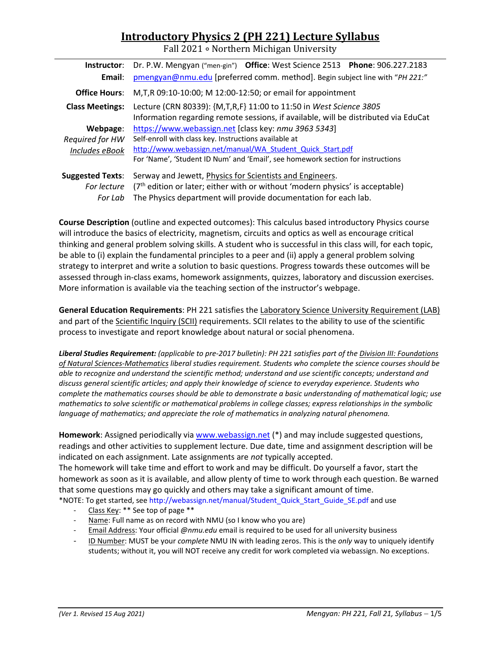# **Introductory Physics 2 (PH 221) Lecture Syllabus**

Fall 2021 ∘ Northern Michigan University

| Instructor:             | Dr. P.W. Mengyan ("men-gin") Office: West Science 2513 Phone: 906.227.2183          |  |  |  |  |
|-------------------------|-------------------------------------------------------------------------------------|--|--|--|--|
| Email:                  | pmengyan@nmu.edu [preferred comm. method]. Begin subject line with "PH 221:"        |  |  |  |  |
| <b>Office Hours:</b>    | M, T, R 09:10-10:00; M 12:00-12:50; or email for appointment                        |  |  |  |  |
| <b>Class Meetings:</b>  | Lecture (CRN 80339): {M,T,R,F} 11:00 to 11:50 in West Science 3805                  |  |  |  |  |
|                         | Information regarding remote sessions, if available, will be distributed via EduCat |  |  |  |  |
| Webpage:                | https://www.webassign.net [class key: nmu 3963 5343]                                |  |  |  |  |
| Required for HW         | Self-enroll with class key. Instructions available at                               |  |  |  |  |
| Includes eBook          | http://www.webassign.net/manual/WA Student Quick Start.pdf                          |  |  |  |  |
|                         | For 'Name', 'Student ID Num' and 'Email', see homework section for instructions     |  |  |  |  |
| <b>Suggested Texts:</b> | Serway and Jewett, Physics for Scientists and Engineers.                            |  |  |  |  |
| For lecture             | $(7th$ edition or later; either with or without 'modern physics' is acceptable)     |  |  |  |  |
| For Lab                 | The Physics department will provide documentation for each lab.                     |  |  |  |  |

**Course Description** (outline and expected outcomes): This calculus based introductory Physics course will introduce the basics of electricity, magnetism, circuits and optics as well as encourage critical thinking and general problem solving skills. A student who is successful in this class will, for each topic, be able to (i) explain the fundamental principles to a peer and (ii) apply a general problem solving strategy to interpret and write a solution to basic questions. Progress towards these outcomes will be assessed through in‐class exams, homework assignments, quizzes, laboratory and discussion exercises. More information is available via the teaching section of the instructor's webpage.

**General Education Requirements**: PH 221 satisfies the Laboratory Science University Requirement (LAB) and part of the Scientific Inquiry (SCII) requirements. SCII relates to the ability to use of the scientific process to investigate and report knowledge about natural or social phenomena.

*Liberal Studies Requirement: (applicable to pre‐2017 bulletin): PH 221 satisfies part of the Division III: Foundations of Natural Sciences‐Mathematics liberal studies requirement. Students who complete the science courses should be able to recognize and understand the scientific method; understand and use scientific concepts; understand and discuss general scientific articles; and apply their knowledge of science to everyday experience. Students who complete the mathematics courses should be able to demonstrate a basic understanding of mathematical logic; use mathematics to solve scientific or mathematical problems in college classes; express relationships in the symbolic language of mathematics; and appreciate the role of mathematics in analyzing natural phenomena.* 

**Homework**: Assigned periodically via www.webassign.net (\*) and may include suggested questions, readings and other activities to supplement lecture. Due date, time and assignment description will be indicated on each assignment. Late assignments are *not* typically accepted. The homework will take time and effort to work and may be difficult. Do yourself a favor, start the homework as soon as it is available, and allow plenty of time to work through each question. Be warned that some questions may go quickly and others may take a significant amount of time.

\*NOTE: To get started, see http://webassign.net/manual/Student\_Quick\_Start\_Guide\_SE.pdf and use

- Class Key: \*\* See top of page \*\*
- ‐ Name: Full name as on record with NMU (so I know who you are)
- ‐ Email Address: Your official *@nmu.edu* email is required to be used for all university business
- ‐ ID Number: MUST be your *complete* NMU IN with leading zeros. This is the *only* way to uniquely identify students; without it, you will NOT receive any credit for work completed via webassign. No exceptions.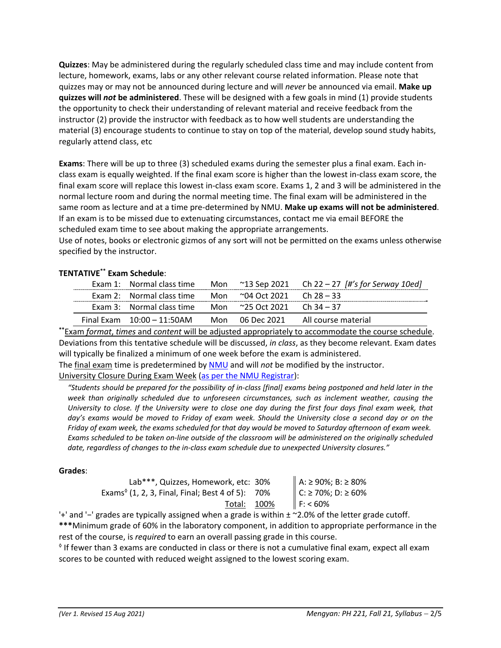**Quizzes**: May be administered during the regularly scheduled class time and may include content from lecture, homework, exams, labs or any other relevant course related information. Please note that quizzes may or may not be announced during lecture and will *never* be announced via email. **Make up quizzes will** *not* **be administered**. These will be designed with a few goals in mind (1) provide students the opportunity to check their understanding of relevant material and receive feedback from the instructor (2) provide the instructor with feedback as to how well students are understanding the material (3) encourage students to continue to stay on top of the material, develop sound study habits, regularly attend class, etc

**Exams**: There will be up to three (3) scheduled exams during the semester plus a final exam. Each in‐ class exam is equally weighted. If the final exam score is higher than the lowest in‐class exam score, the final exam score will replace this lowest in‐class exam score. Exams 1, 2 and 3 will be administered in the normal lecture room and during the normal meeting time. The final exam will be administered in the same room as lecture and at a time pre‐determined by NMU. **Make up exams will not be administered**. If an exam is to be missed due to extenuating circumstances, contact me via email BEFORE the scheduled exam time to see about making the appropriate arrangements.

Use of notes, books or electronic gizmos of any sort will not be permitted on the exams unless otherwise specified by the instructor.

## **TENTATIVE\*\* Exam Schedule**:

|                                                             |  | Exam 1: Normal class time Mon $\sim$ 13 Sep 2021 Ch 22 – 27 [#'s for Serway 10ed] |
|-------------------------------------------------------------|--|-----------------------------------------------------------------------------------|
| Exam 2: Normal class time Mon $\sim$ 04 Oct 2021 Ch 28 – 33 |  |                                                                                   |
| Exam 3: Normal class time Mon $\sim$ 25 Oct 2021 Ch 34 – 37 |  |                                                                                   |
| Final Exam $10:00 - 11:50$ AM                               |  | Mon 06 Dec 2021 All course material                                               |

**\*\***Exam *format*, *times* and *content* will be adjusted appropriately to accommodate the course schedule. Deviations from this tentative schedule will be discussed, *in class*, as they become relevant. Exam dates will typically be finalized a minimum of one week before the exam is administered. The final exam time is predetermined by NMU and will *not* be modified by the instructor.

University Closure During Exam Week (as per the NMU Registrar):

*"Students should be prepared for the possibility of in‐class [final] exams being postponed and held later in the week than originally scheduled due to unforeseen circumstances, such as inclement weather, causing the University to close. If the University were to close one day during the first four days final exam week, that day's exams would be moved to Friday of exam week. Should the University close a second day or on the Friday of exam week, the exams scheduled for that day would be moved to Saturday afternoon of exam week. Exams scheduled to be taken on‐line outside of the classroom will be administered on the originally scheduled date, regardless of changes to the in‐class exam schedule due to unexpected University closures."* 

#### **Grades**:

| Lab***, Quizzes, Homework, etc: 30%                                           | A: ≥ 90%; B: ≥ 80% |
|-------------------------------------------------------------------------------|--------------------|
| Exams <sup><math>\circ</math></sup> (1, 2, 3, Final, Final; Best 4 of 5): 70% | C: ≥ 70%; D: ≥ 60% |
| Total: 100%                                                                   | F: 60%             |

'+' and '−' grades are typically assigned when a grade is within ± ~2.0% of the letter grade cutoff.

**\*\*\***Minimum grade of 60% in the laboratory component, in addition to appropriate performance in the rest of the course, is *required* to earn an overall passing grade in this course.

 $^{\circ}$  If fewer than 3 exams are conducted in class or there is not a cumulative final exam, expect all exam scores to be counted with reduced weight assigned to the lowest scoring exam.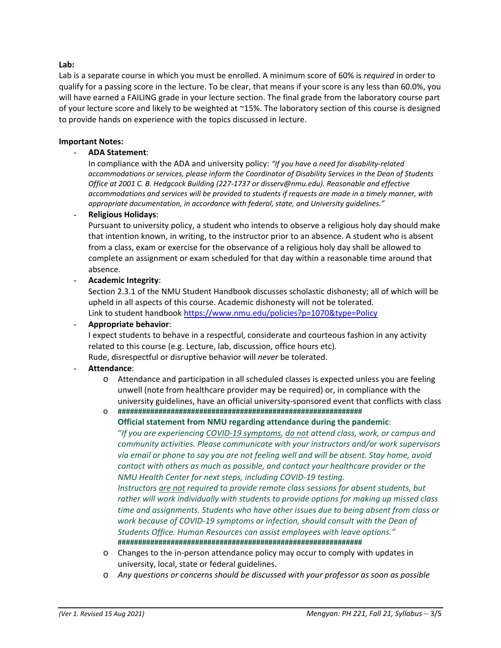#### **Lab:**

Lab is a separate course in which you must be enrolled. A minimum score of 60% is *required* in order to qualify for a passing score in the lecture. To be clear, that means if your score is any less than 60.0%, you will have earned a FAILING grade in your lecture section. The final grade from the laboratory course part of your lecture score and likely to be weighted at ~15%. The laboratory section of this course is designed to provide hands on experience with the topics discussed in lecture.

#### **Important Notes:**

#### - **ADA Statement**:

In compliance with the ADA and university policy: *"If you have a need for disability‐related accommodations or services, please inform the Coordinator of Disability Services in the Dean of Students Office at 2001 C. B. Hedgcock Building (227‐1737 or disserv@nmu.edu). Reasonable and effective accommodations and services will be provided to students if requests are made in a timely manner, with appropriate documentation, in accordance with federal, state, and University guidelines."*

#### - **Religious Holidays**:

Pursuant to university policy, a student who intends to observe a religious holy day should make that intention known, in writing, to the instructor prior to an absence. A student who is absent from a class, exam or exercise for the observance of a religious holy day shall be allowed to complete an assignment or exam scheduled for that day within a reasonable time around that absence.

#### - **Academic Integrity**:

Section 2.3.1 of the NMU Student Handbook discusses scholastic dishonesty; all of which will be upheld in all aspects of this course. Academic dishonesty will not be tolerated. Link to student handbook https://www.nmu.edu/policies?p=1070&type=Policy

#### - **Appropriate behavior**:

I expect students to behave in a respectful, considerate and courteous fashion in any activity related to this course (e.g. Lecture, lab, discussion, office hours etc). Rude, disrespectful or disruptive behavior will *never* be tolerated.

#### - **Attendance**:

o Attendance and participation in all scheduled classes is expected unless you are feeling unwell (note from healthcare provider may be required) or, in compliance with the university guidelines, have an official university‐sponsored event that conflicts with class

o **############################################################** 

**Official statement from NMU regarding attendance during the pandemic**: "*If you are experiencing COVID‐19 symptoms, do not attend class, work, or campus and community activities. Please communicate with your instructors and/or work supervisors via email or phone to say you are not feeling well and will be absent. Stay home, avoid contact with others as much as possible, and contact your healthcare provider or the NMU Health Center for next steps, including COVID‐19 testing.* 

*Instructors are not required to provide remote class sessions for absent students, but rather will work individually with students to provide options for making up missed class time and assignments. Students who have other issues due to being absent from class or work because of COVID‐19 symptoms or infection, should consult with the Dean of Students Office. Human Resources can assist employees with leave options."*  **############################################################**

- o Changes to the in‐person attendance policy may occur to comply with updates in university, local, state or federal guidelines.
- o *Any questions or concerns should be discussed with your professor as soon as possible*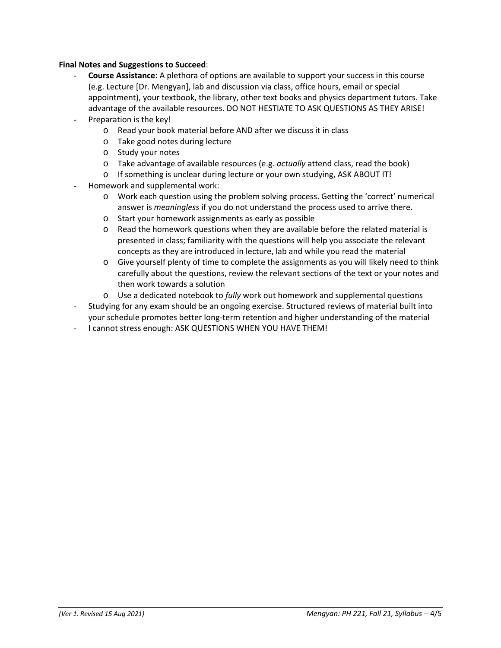### **Final Notes and Suggestions to Succeed**:

- **Course Assistance**: A plethora of options are available to support your success in this course (e.g. Lecture [Dr. Mengyan], lab and discussion via class, office hours, email or special appointment), your textbook, the library, other text books and physics department tutors. Take advantage of the available resources. DO NOT HESTIATE TO ASK QUESTIONS AS THEY ARISE!
- Preparation is the key!
	- o Read your book material before AND after we discuss it in class
	- o Take good notes during lecture
	- o Study your notes
	- o Take advantage of available resources (e.g. *actually* attend class, read the book)
	- o If something is unclear during lecture or your own studying, ASK ABOUT IT!
- Homework and supplemental work:
	- o Work each question using the problem solving process. Getting the 'correct' numerical answer is *meaningless* if you do not understand the process used to arrive there.
	- o Start your homework assignments as early as possible
	- o Read the homework questions when they are available before the related material is presented in class; familiarity with the questions will help you associate the relevant concepts as they are introduced in lecture, lab and while you read the material
	- o Give yourself plenty of time to complete the assignments as you will likely need to think carefully about the questions, review the relevant sections of the text or your notes and then work towards a solution
	- o Use a dedicated notebook to *fully* work out homework and supplemental questions
- Studying for any exam should be an ongoing exercise. Structured reviews of material built into your schedule promotes better long‐term retention and higher understanding of the material
- I cannot stress enough: ASK QUESTIONS WHEN YOU HAVE THEM!